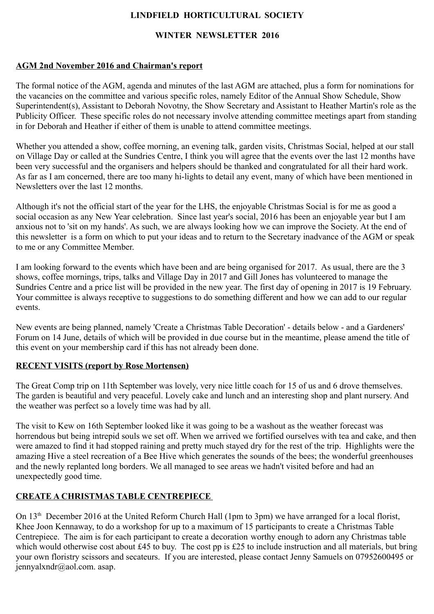## **LINDFIELD HORTICULTURAL SOCIETY**

#### **WINTER NEWSLETTER 2016**

#### **AGM 2nd November 2016 and Chairman's report**

The formal notice of the AGM, agenda and minutes of the last AGM are attached, plus a form for nominations for the vacancies on the committee and various specific roles, namely Editor of the Annual Show Schedule, Show Superintendent(s), Assistant to Deborah Novotny, the Show Secretary and Assistant to Heather Martin's role as the Publicity Officer. These specific roles do not necessary involve attending committee meetings apart from standing in for Deborah and Heather if either of them is unable to attend committee meetings.

Whether you attended a show, coffee morning, an evening talk, garden visits, Christmas Social, helped at our stall on Village Day or called at the Sundries Centre, I think you will agree that the events over the last 12 months have been very successful and the organisers and helpers should be thanked and congratulated for all their hard work. As far as I am concerned, there are too many hi-lights to detail any event, many of which have been mentioned in Newsletters over the last 12 months.

Although it's not the official start of the year for the LHS, the enjoyable Christmas Social is for me as good a social occasion as any New Year celebration. Since last year's social, 2016 has been an enjoyable year but I am anxious not to 'sit on my hands'. As such, we are always looking how we can improve the Society. At the end of this newsletter is a form on which to put your ideas and to return to the Secretary inadvance of the AGM or speak to me or any Committee Member.

I am looking forward to the events which have been and are being organised for 2017. As usual, there are the 3 shows, coffee mornings, trips, talks and Village Day in 2017 and Gill Jones has volunteered to manage the Sundries Centre and a price list will be provided in the new year. The first day of opening in 2017 is 19 February. Your committee is always receptive to suggestions to do something different and how we can add to our regular events.

New events are being planned, namely 'Create a Christmas Table Decoration' - details below - and a Gardeners' Forum on 14 June, details of which will be provided in due course but in the meantime, please amend the title of this event on your membership card if this has not already been done.

#### **RECENT VISITS (report by Rose Mortensen)**

The Great Comp trip on 11th September was lovely, very nice little coach for 15 of us and 6 drove themselves. The garden is beautiful and very peaceful. Lovely cake and lunch and an interesting shop and plant nursery. And the weather was perfect so a lovely time was had by all.

The visit to Kew on 16th September looked like it was going to be a washout as the weather forecast was horrendous but being intrepid souls we set off. When we arrived we fortified ourselves with tea and cake, and then were amazed to find it had stopped raining and pretty much stayed dry for the rest of the trip. Highlights were the amazing Hive a steel recreation of a Bee Hive which generates the sounds of the bees; the wonderful greenhouses and the newly replanted long borders. We all managed to see areas we hadn't visited before and had an unexpectedly good time.

### **CREATE A CHRISTMAS TABLE CENTREPIECE**

On 13<sup>th</sup> December 2016 at the United Reform Church Hall (1pm to 3pm) we have arranged for a local florist, Khee Joon Kennaway, to do a workshop for up to a maximum of 15 participants to create a Christmas Table Centrepiece. The aim is for each participant to create a decoration worthy enough to adorn any Christmas table which would otherwise cost about £45 to buy. The cost pp is £25 to include instruction and all materials, but bring your own floristry scissors and secateurs. If you are interested, please contact Jenny Samuels on 07952600495 or jennyalxndr@aol.com. asap.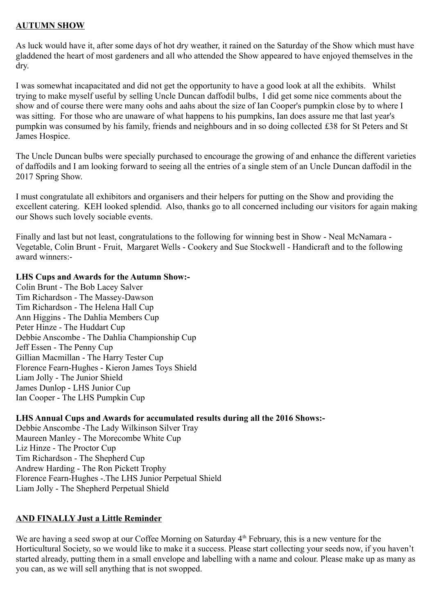#### **AUTUMN SHOW**

As luck would have it, after some days of hot dry weather, it rained on the Saturday of the Show which must have gladdened the heart of most gardeners and all who attended the Show appeared to have enjoyed themselves in the dry.

I was somewhat incapacitated and did not get the opportunity to have a good look at all the exhibits. Whilst trying to make myself useful by selling Uncle Duncan daffodil bulbs, I did get some nice comments about the show and of course there were many oohs and aahs about the size of Ian Cooper's pumpkin close by to where I was sitting. For those who are unaware of what happens to his pumpkins, Ian does assure me that last year's pumpkin was consumed by his family, friends and neighbours and in so doing collected £38 for St Peters and St James Hospice.

The Uncle Duncan bulbs were specially purchased to encourage the growing of and enhance the different varieties of daffodils and I am looking forward to seeing all the entries of a single stem of an Uncle Duncan daffodil in the 2017 Spring Show.

I must congratulate all exhibitors and organisers and their helpers for putting on the Show and providing the excellent catering. KEH looked splendid. Also, thanks go to all concerned including our visitors for again making our Shows such lovely sociable events.

Finally and last but not least, congratulations to the following for winning best in Show - Neal McNamara - Vegetable, Colin Brunt - Fruit, Margaret Wells - Cookery and Sue Stockwell - Handicraft and to the following award winners:-

#### **LHS Cups and Awards for the Autumn Show:-**

Colin Brunt - The Bob Lacey Salver Tim Richardson - The Massey-Dawson Tim Richardson - The Helena Hall Cup Ann Higgins - The Dahlia Members Cup Peter Hinze - The Huddart Cup Debbie Anscombe - The Dahlia Championship Cup Jeff Essen - The Penny Cup Gillian Macmillan - The Harry Tester Cup Florence Fearn-Hughes - Kieron James Toys Shield Liam Jolly - The Junior Shield James Dunlop - LHS Junior Cup Ian Cooper - The LHS Pumpkin Cup

#### **LHS Annual Cups and Awards for accumulated results during all the 2016 Shows:-**

Debbie Anscombe -The Lady Wilkinson Silver Tray Maureen Manley - The Morecombe White Cup Liz Hinze - The Proctor Cup Tim Richardson - The Shepherd Cup Andrew Harding - The Ron Pickett Trophy Florence Fearn-Hughes -.The LHS Junior Perpetual Shield Liam Jolly - The Shepherd Perpetual Shield

#### **AND FINALLY Just a Little Reminder**

We are having a seed swop at our Coffee Morning on Saturday  $4<sup>th</sup>$  February, this is a new venture for the Horticultural Society, so we would like to make it a success. Please start collecting your seeds now, if you haven't started already, putting them in a small envelope and labelling with a name and colour. Please make up as many as you can, as we will sell anything that is not swopped.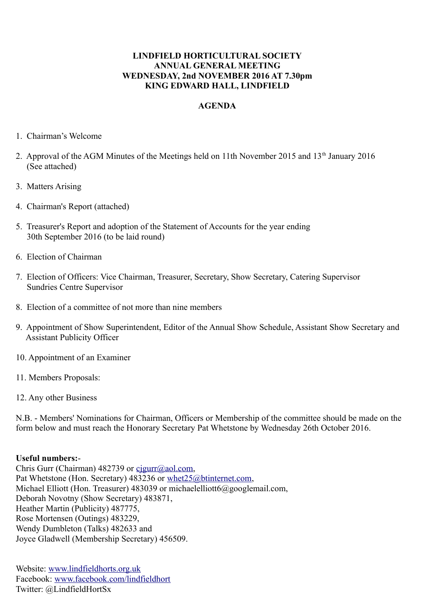#### **LINDFIELD HORTICULTURAL SOCIETY ANNUAL GENERAL MEETING WEDNESDAY, 2nd NOVEMBER 2016 AT 7.30pm KING EDWARD HALL, LINDFIELD**

#### **AGENDA**

- 1. Chairman's Welcome
- 2. Approval of the AGM Minutes of the Meetings held on 11th November 2015 and 13<sup>th</sup> January 2016 (See attached)
- 3. Matters Arising
- 4. Chairman's Report (attached)
- 5. Treasurer's Report and adoption of the Statement of Accounts for the year ending 30th September 2016 (to be laid round)
- 6. Election of Chairman
- 7. Election of Officers: Vice Chairman, Treasurer, Secretary, Show Secretary, Catering Supervisor Sundries Centre Supervisor
- 8. Election of a committee of not more than nine members
- 9. Appointment of Show Superintendent, Editor of the Annual Show Schedule, Assistant Show Secretary and Assistant Publicity Officer
- 10. Appointment of an Examiner
- 11. Members Proposals:
- 12. Any other Business

N.B. - Members' Nominations for Chairman, Officers or Membership of the committee should be made on the form below and must reach the Honorary Secretary Pat Whetstone by Wednesday 26th October 2016.

#### **Useful numbers:**-

Chris Gurr (Chairman) 482739 or [cjgurr@aol.com,](mailto:cjgurr@aol.com) Pat Whetstone (Hon. Secretary) 483236 or [whet25@btinternet.com,](mailto:whet25@btinternet.com) Michael Elliott (Hon. Treasurer) 483039 or michaelelliott6@googlemail.com, Deborah Novotny (Show Secretary) 483871, Heather Martin (Publicity) 487775, Rose Mortensen (Outings) 483229, Wendy Dumbleton (Talks) 482633 and Joyce Gladwell (Membership Secretary) 456509.

Website: [www.lindfieldhorts.org.uk](http://www.lindfieldhorts.org.uk/) Facebook: [www.facebook.com/lindfieldhort](http://www.facebook.com/lindfieldhort) Twitter: @LindfieldHortSx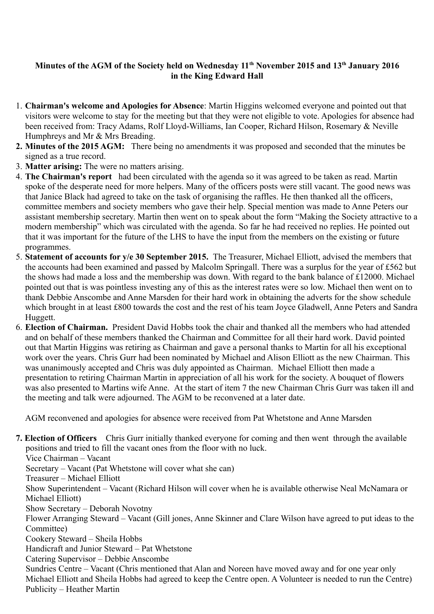# **Minutes of the AGM of the Society held on Wednesday 11th November 2015 and 13th January 2016 in the King Edward Hall**

- 1. **Chairman's welcome and Apologies for Absence**: Martin Higgins welcomed everyone and pointed out that visitors were welcome to stay for the meeting but that they were not eligible to vote. Apologies for absence had been received from: Tracy Adams, Rolf Lloyd-Williams, Ian Cooper, Richard Hilson, Rosemary & Neville Humphreys and Mr & Mrs Breading.
- **2. Minutes of the 2015 AGM:** There being no amendments it was proposed and seconded that the minutes be signed as a true record.
- 3. **Matter arising:** The were no matters arising.
- 4. **The Chairman's report** had been circulated with the agenda so it was agreed to be taken as read. Martin spoke of the desperate need for more helpers. Many of the officers posts were still vacant. The good news was that Janice Black had agreed to take on the task of organising the raffles. He then thanked all the officers, committee members and society members who gave their help. Special mention was made to Anne Peters our assistant membership secretary. Martin then went on to speak about the form "Making the Society attractive to a modern membership" which was circulated with the agenda. So far he had received no replies. He pointed out that it was important for the future of the LHS to have the input from the members on the existing or future programmes.
- 5. **Statement of accounts for y/e 30 September 2015.** The Treasurer, Michael Elliott, advised the members that the accounts had been examined and passed by Malcolm Springall. There was a surplus for the year of £562 but the shows had made a loss and the membership was down. With regard to the bank balance of £12000. Michael pointed out that is was pointless investing any of this as the interest rates were so low. Michael then went on to thank Debbie Anscombe and Anne Marsden for their hard work in obtaining the adverts for the show schedule which brought in at least £800 towards the cost and the rest of his team Joyce Gladwell, Anne Peters and Sandra Huggett.
- 6. **Election of Chairman.** President David Hobbs took the chair and thanked all the members who had attended and on behalf of these members thanked the Chairman and Committee for all their hard work. David pointed out that Martin Higgins was retiring as Chairman and gave a personal thanks to Martin for all his exceptional work over the years. Chris Gurr had been nominated by Michael and Alison Elliott as the new Chairman. This was unanimously accepted and Chris was duly appointed as Chairman.Michael Elliott then made a presentation to retiring Chairman Martin in appreciation of all his work for the society. A bouquet of flowers was also presented to Martins wife Anne.At the start of item 7 the new Chairman Chris Gurr was taken ill and the meeting and talk were adjourned. The AGM to be reconvened at a later date.

AGM reconvened and apologies for absence were received from Pat Whetstone and Anne Marsden

**7. Election of Officers** Chris Gurr initially thanked everyone for coming and then went through the available positions and tried to fill the vacant ones from the floor with no luck. Vice Chairman – Vacant Secretary – Vacant (Pat Whetstone will cover what she can) Treasurer – Michael Elliott Show Superintendent – Vacant (Richard Hilson will cover when he is available otherwise Neal McNamara or Michael Elliott) Show Secretary – Deborah Novotny Flower Arranging Steward – Vacant (Gill jones, Anne Skinner and Clare Wilson have agreed to put ideas to the Committee) Cookery Steward – Sheila Hobbs Handicraft and Junior Steward – Pat Whetstone Catering Supervisor – Debbie Anscombe Sundries Centre – Vacant (Chris mentioned that Alan and Noreen have moved away and for one year only Michael Elliott and Sheila Hobbs had agreed to keep the Centre open. A Volunteer is needed to run the Centre) Publicity – Heather Martin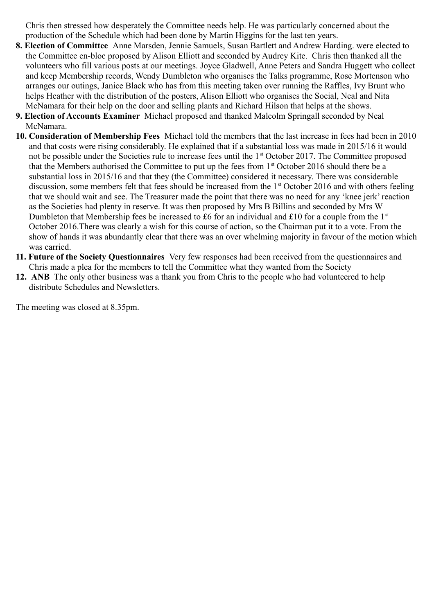Chris then stressed how desperately the Committee needs help. He was particularly concerned about the production of the Schedule which had been done by Martin Higgins for the last ten years.

- **8. Election of Committee** Anne Marsden, Jennie Samuels, Susan Bartlett and Andrew Harding. were elected to the Committee en-bloc proposed by Alison Elliott and seconded by Audrey Kite. Chris then thanked all the volunteers who fill various posts at our meetings. Joyce Gladwell, Anne Peters and Sandra Huggett who collect and keep Membership records, Wendy Dumbleton who organises the Talks programme, Rose Mortenson who arranges our outings, Janice Black who has from this meeting taken over running the Raffles, Ivy Brunt who helps Heather with the distribution of the posters, Alison Elliott who organises the Social, Neal and Nita McNamara for their help on the door and selling plants and Richard Hilson that helps at the shows.
- **9. Election of Accounts Examiner** Michael proposed and thanked Malcolm Springall seconded by Neal McNamara.
- **10. Consideration of Membership Fees** Michael told the members that the last increase in fees had been in 2010 and that costs were rising considerably. He explained that if a substantial loss was made in 2015/16 it would not be possible under the Societies rule to increase fees until the 1<sup>st</sup> October 2017. The Committee proposed that the Members authorised the Committee to put up the fees from 1<sup>st</sup> October 2016 should there be a substantial loss in 2015/16 and that they (the Committee) considered it necessary. There was considerable discussion, some members felt that fees should be increased from the 1<sup>st</sup> October 2016 and with others feeling that we should wait and see. The Treasurer made the point that there was no need for any 'knee jerk' reaction as the Societies had plenty in reserve. It was then proposed by Mrs B Billins and seconded by Mrs W Dumbleton that Membership fees be increased to £6 for an individual and £10 for a couple from the 1<sup>st</sup> October 2016.There was clearly a wish for this course of action, so the Chairman put it to a vote. From the show of hands it was abundantly clear that there was an over whelming majority in favour of the motion which was carried.
- **11. Future of the Society Questionnaires** Very few responses had been received from the questionnaires and Chris made a plea for the members to tell the Committee what they wanted from the Society
- **12. ANB** The only other business was a thank you from Chris to the people who had volunteered to help distribute Schedules and Newsletters.

The meeting was closed at 8.35pm.